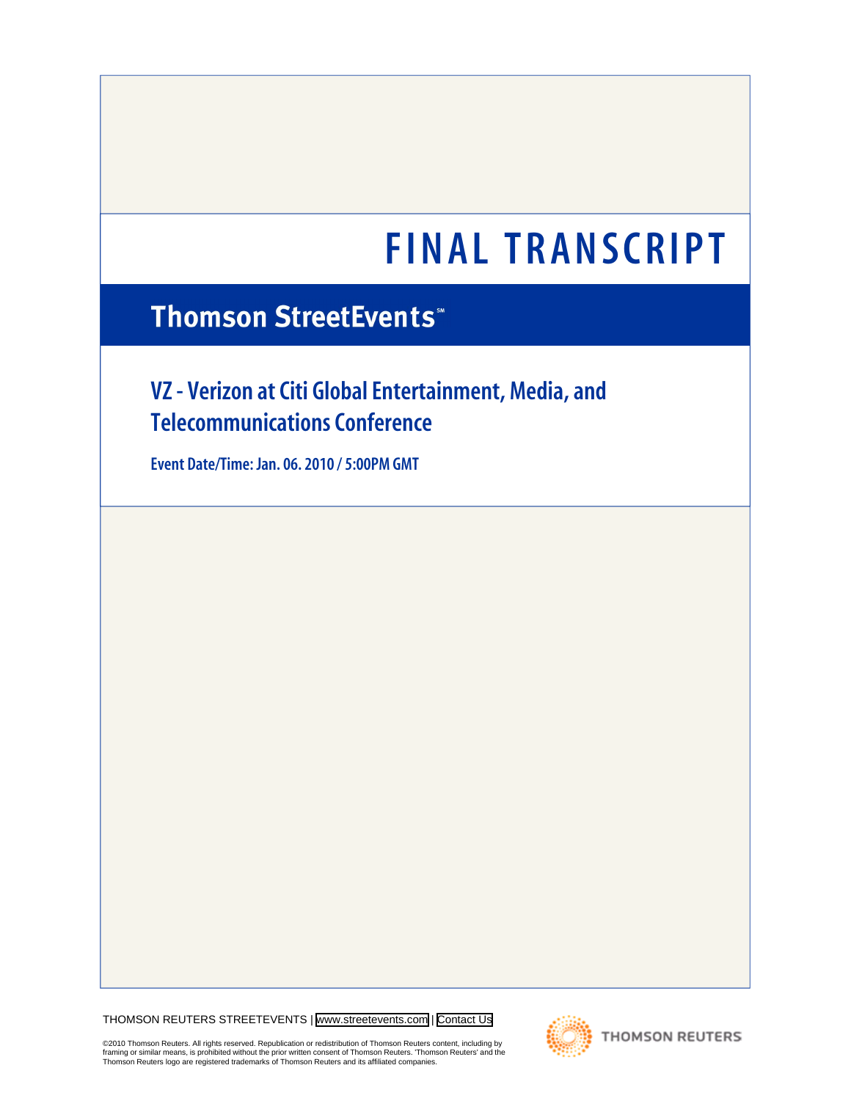# **FINAL TRANSCRIPT**

# **Thomson StreetEvents\***

# **VZ - Verizon at Citi Global Entertainment, Media, and Telecommunications Conference**

**Event Date/Time: Jan. 06. 2010 / 5:00PM GMT**

THOMSON REUTERS STREETEVENTS | [www.streetevents.com](http://www.streetevents.com) | [Contact Us](http://www010.streetevents.com/contact.asp)

©2010 Thomson Reuters. All rights reserved. Republication or redistribution of Thomson Reuters content, including by<br>framing or similar means, is prohibited without the prior written consent of Thomson Reuters. 'Thomson Re



**THOMSON REUTERS**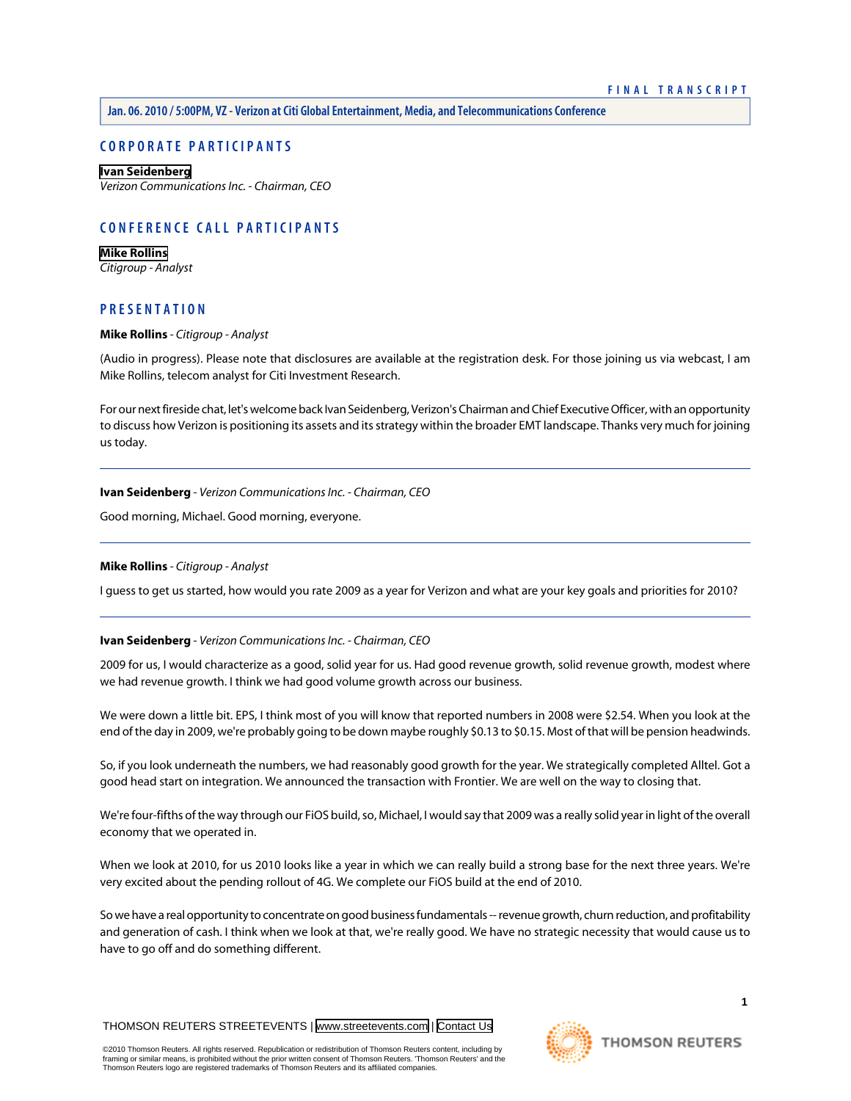# **CORPORATE PARTICIPANTS**

#### **[Ivan Seidenberg](#page-1-0)**

*Verizon Communications Inc. - Chairman, CEO*

# **CONFERENCE CALL PARTICIPANTS**

**[Mike Rollins](#page-1-1)** *Citigroup - Analyst*

# <span id="page-1-1"></span>**PRESENTATION**

#### **Mike Rollins** *- Citigroup - Analyst*

(Audio in progress). Please note that disclosures are available at the registration desk. For those joining us via webcast, I am Mike Rollins, telecom analyst for Citi Investment Research.

<span id="page-1-0"></span>For our next fireside chat, let's welcome back Ivan Seidenberg, Verizon's Chairman and Chief Executive Officer, with an opportunity to discuss how Verizon is positioning its assets and its strategy within the broader EMT landscape. Thanks very much for joining us today.

**Ivan Seidenberg** *- Verizon Communications Inc. - Chairman, CEO*

Good morning, Michael. Good morning, everyone.

# **Mike Rollins** *- Citigroup - Analyst*

I guess to get us started, how would you rate 2009 as a year for Verizon and what are your key goals and priorities for 2010?

# **Ivan Seidenberg** *- Verizon Communications Inc. - Chairman, CEO*

2009 for us, I would characterize as a good, solid year for us. Had good revenue growth, solid revenue growth, modest where we had revenue growth. I think we had good volume growth across our business.

We were down a little bit. EPS, I think most of you will know that reported numbers in 2008 were \$2.54. When you look at the end of the day in 2009, we're probably going to be down maybe roughly \$0.13 to \$0.15. Most of that will be pension headwinds.

So, if you look underneath the numbers, we had reasonably good growth for the year. We strategically completed Alltel. Got a good head start on integration. We announced the transaction with Frontier. We are well on the way to closing that.

We're four-fifths of the way through our FiOS build, so, Michael, I would say that 2009 was a really solid year in light of the overall economy that we operated in.

When we look at 2010, for us 2010 looks like a year in which we can really build a strong base for the next three years. We're very excited about the pending rollout of 4G. We complete our FiOS build at the end of 2010.

So we have a real opportunity to concentrate on good business fundamentals -- revenue growth, churn reduction, and profitability and generation of cash. I think when we look at that, we're really good. We have no strategic necessity that would cause us to have to go off and do something different.

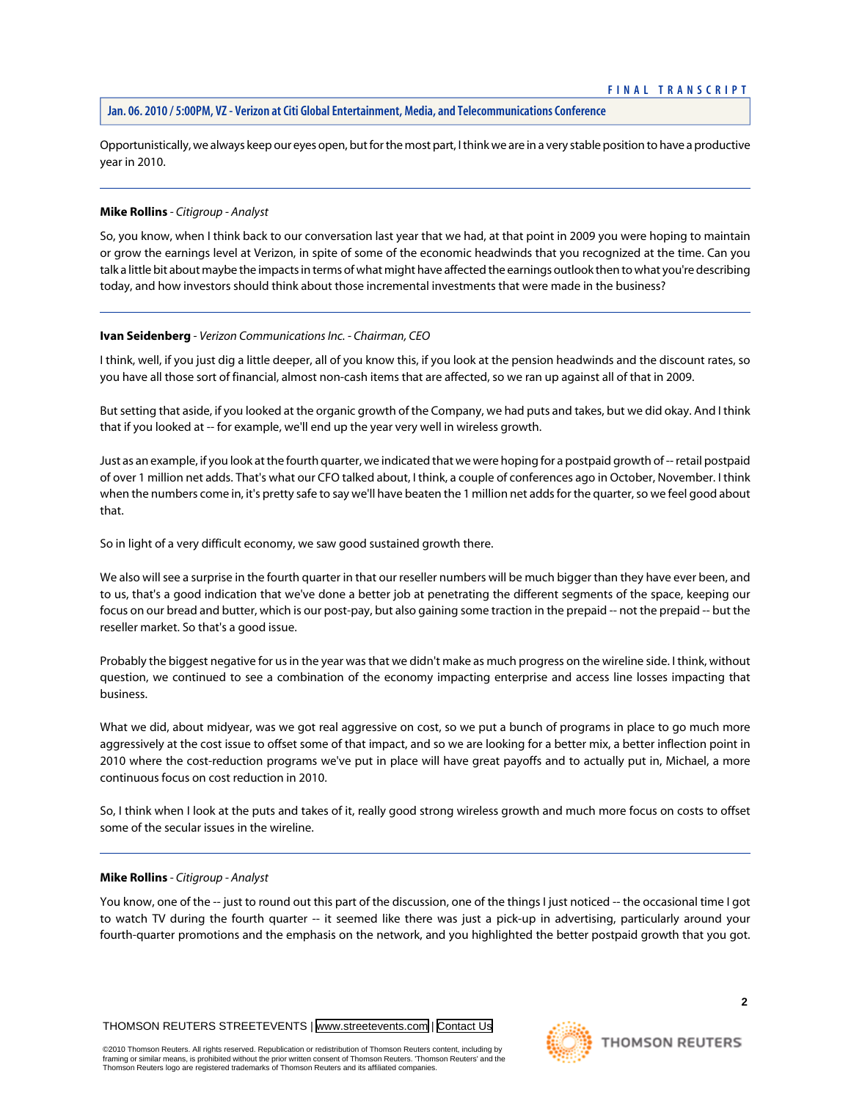Opportunistically, we always keep our eyes open, but for the most part, I think we are in a very stable position to have a productive year in 2010.

#### **Mike Rollins** *- Citigroup - Analyst*

So, you know, when I think back to our conversation last year that we had, at that point in 2009 you were hoping to maintain or grow the earnings level at Verizon, in spite of some of the economic headwinds that you recognized at the time. Can you talk a little bit about maybe the impacts in terms of what might have affected the earnings outlook then to what you're describing today, and how investors should think about those incremental investments that were made in the business?

#### **Ivan Seidenberg** *- Verizon Communications Inc. - Chairman, CEO*

I think, well, if you just dig a little deeper, all of you know this, if you look at the pension headwinds and the discount rates, so you have all those sort of financial, almost non-cash items that are affected, so we ran up against all of that in 2009.

But setting that aside, if you looked at the organic growth of the Company, we had puts and takes, but we did okay. And I think that if you looked at -- for example, we'll end up the year very well in wireless growth.

Just as an example, if you look at the fourth quarter, we indicated that we were hoping for a postpaid growth of -- retail postpaid of over 1 million net adds. That's what our CFO talked about, I think, a couple of conferences ago in October, November. I think when the numbers come in, it's pretty safe to say we'll have beaten the 1 million net adds for the quarter, so we feel good about that.

So in light of a very difficult economy, we saw good sustained growth there.

We also will see a surprise in the fourth quarter in that our reseller numbers will be much bigger than they have ever been, and to us, that's a good indication that we've done a better job at penetrating the different segments of the space, keeping our focus on our bread and butter, which is our post-pay, but also gaining some traction in the prepaid -- not the prepaid -- but the reseller market. So that's a good issue.

Probably the biggest negative for us in the year was that we didn't make as much progress on the wireline side. I think, without question, we continued to see a combination of the economy impacting enterprise and access line losses impacting that business.

What we did, about midyear, was we got real aggressive on cost, so we put a bunch of programs in place to go much more aggressively at the cost issue to offset some of that impact, and so we are looking for a better mix, a better inflection point in 2010 where the cost-reduction programs we've put in place will have great payoffs and to actually put in, Michael, a more continuous focus on cost reduction in 2010.

So, I think when I look at the puts and takes of it, really good strong wireless growth and much more focus on costs to offset some of the secular issues in the wireline.

#### **Mike Rollins** *- Citigroup - Analyst*

You know, one of the -- just to round out this part of the discussion, one of the things I just noticed -- the occasional time I got to watch TV during the fourth quarter -- it seemed like there was just a pick-up in advertising, particularly around your fourth-quarter promotions and the emphasis on the network, and you highlighted the better postpaid growth that you got.

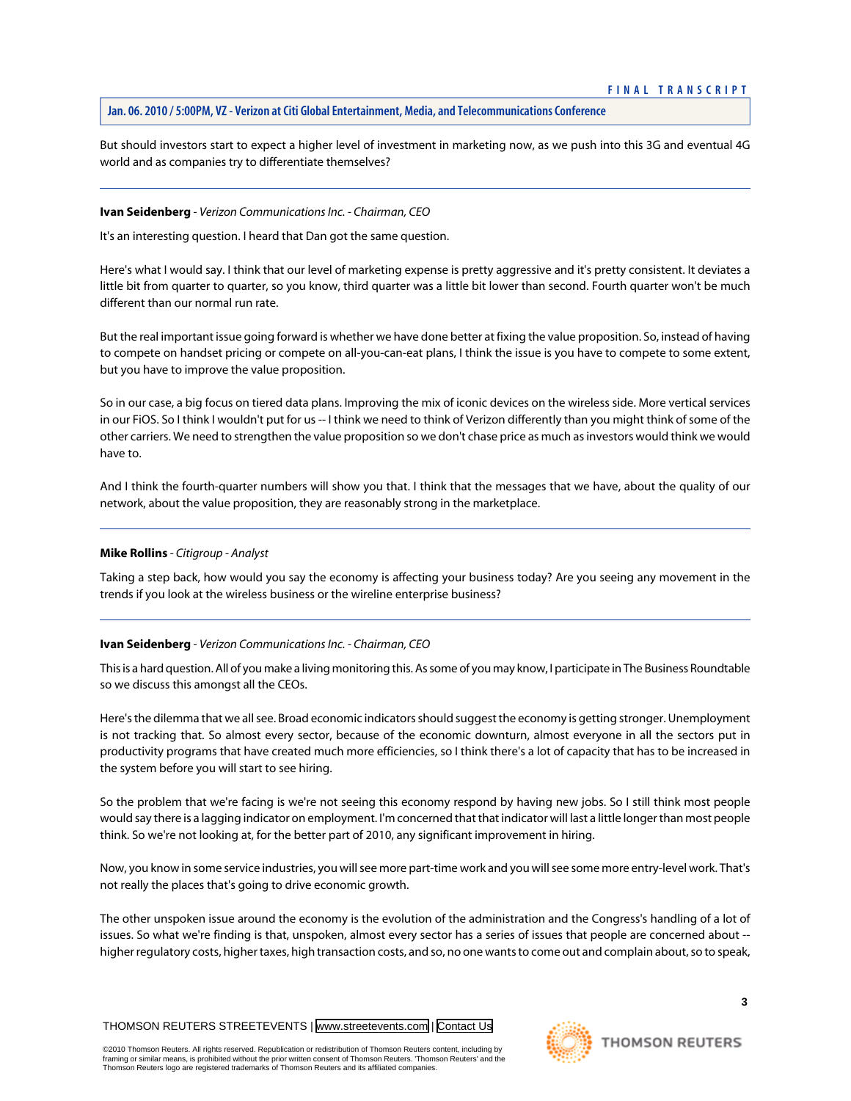But should investors start to expect a higher level of investment in marketing now, as we push into this 3G and eventual 4G world and as companies try to differentiate themselves?

#### **Ivan Seidenberg** *- Verizon Communications Inc. - Chairman, CEO*

It's an interesting question. I heard that Dan got the same question.

Here's what I would say. I think that our level of marketing expense is pretty aggressive and it's pretty consistent. It deviates a little bit from quarter to quarter, so you know, third quarter was a little bit lower than second. Fourth quarter won't be much different than our normal run rate.

But the real important issue going forward is whether we have done better at fixing the value proposition. So, instead of having to compete on handset pricing or compete on all-you-can-eat plans, I think the issue is you have to compete to some extent, but you have to improve the value proposition.

So in our case, a big focus on tiered data plans. Improving the mix of iconic devices on the wireless side. More vertical services in our FiOS. So I think I wouldn't put for us -- I think we need to think of Verizon differently than you might think of some of the other carriers. We need to strengthen the value proposition so we don't chase price as much as investors would think we would have to.

And I think the fourth-quarter numbers will show you that. I think that the messages that we have, about the quality of our network, about the value proposition, they are reasonably strong in the marketplace.

#### **Mike Rollins** *- Citigroup - Analyst*

Taking a step back, how would you say the economy is affecting your business today? Are you seeing any movement in the trends if you look at the wireless business or the wireline enterprise business?

# **Ivan Seidenberg** *- Verizon Communications Inc. - Chairman, CEO*

This is a hard question. All of you make a living monitoring this. As some of you may know, I participate in The Business Roundtable so we discuss this amongst all the CEOs.

Here's the dilemma that we all see. Broad economic indicators should suggest the economy is getting stronger. Unemployment is not tracking that. So almost every sector, because of the economic downturn, almost everyone in all the sectors put in productivity programs that have created much more efficiencies, so I think there's a lot of capacity that has to be increased in the system before you will start to see hiring.

So the problem that we're facing is we're not seeing this economy respond by having new jobs. So I still think most people would say there is a lagging indicator on employment. I'm concerned that that indicator will last a little longer than most people think. So we're not looking at, for the better part of 2010, any significant improvement in hiring.

Now, you know in some service industries, you will see more part-time work and you will see some more entry-level work. That's not really the places that's going to drive economic growth.

The other unspoken issue around the economy is the evolution of the administration and the Congress's handling of a lot of issues. So what we're finding is that, unspoken, almost every sector has a series of issues that people are concerned about - higher regulatory costs, higher taxes, high transaction costs, and so, no one wants to come out and complain about, so to speak,

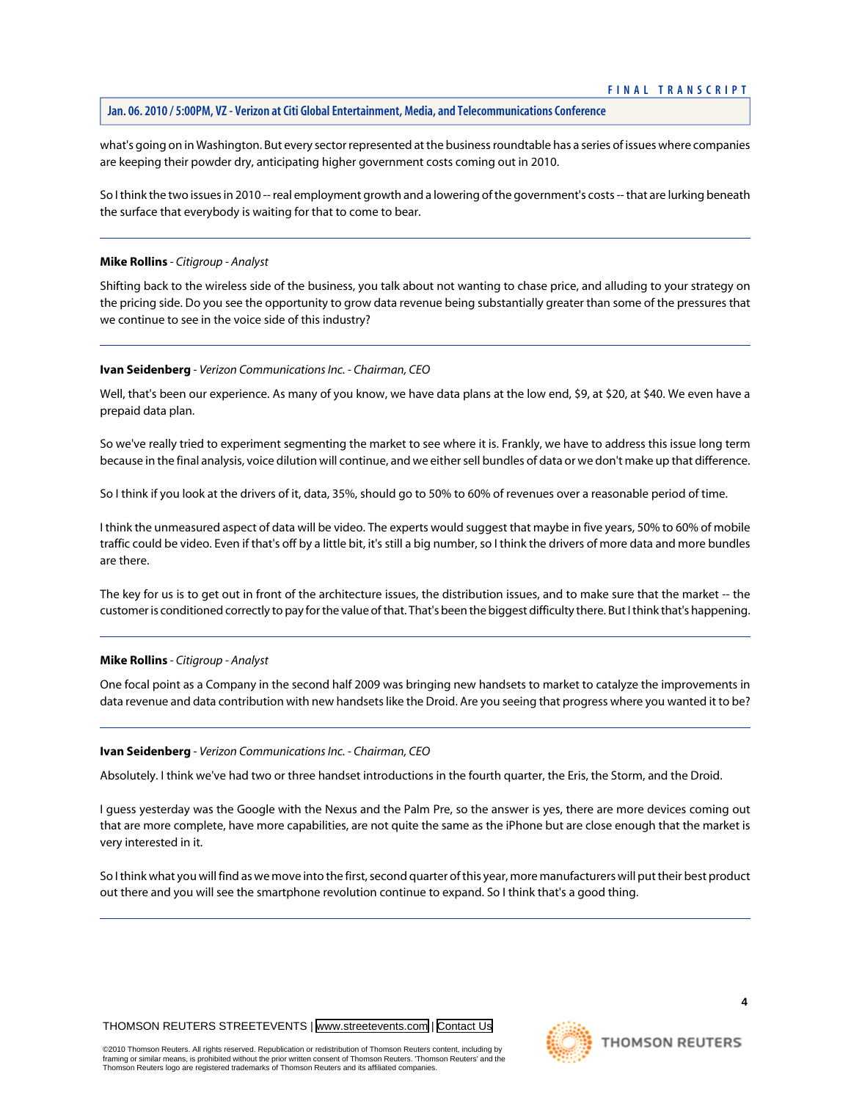what's going on in Washington. But every sector represented at the business roundtable has a series of issues where companies are keeping their powder dry, anticipating higher government costs coming out in 2010.

So I think the two issues in 2010 -- real employment growth and a lowering of the government's costs -- that are lurking beneath the surface that everybody is waiting for that to come to bear.

#### **Mike Rollins** *- Citigroup - Analyst*

Shifting back to the wireless side of the business, you talk about not wanting to chase price, and alluding to your strategy on the pricing side. Do you see the opportunity to grow data revenue being substantially greater than some of the pressures that we continue to see in the voice side of this industry?

#### **Ivan Seidenberg** *- Verizon Communications Inc. - Chairman, CEO*

Well, that's been our experience. As many of you know, we have data plans at the low end, \$9, at \$20, at \$40. We even have a prepaid data plan.

So we've really tried to experiment segmenting the market to see where it is. Frankly, we have to address this issue long term because in the final analysis, voice dilution will continue, and we either sell bundles of data or we don't make up that difference.

So I think if you look at the drivers of it, data, 35%, should go to 50% to 60% of revenues over a reasonable period of time.

I think the unmeasured aspect of data will be video. The experts would suggest that maybe in five years, 50% to 60% of mobile traffic could be video. Even if that's off by a little bit, it's still a big number, so I think the drivers of more data and more bundles are there.

The key for us is to get out in front of the architecture issues, the distribution issues, and to make sure that the market -- the customer is conditioned correctly to pay for the value of that. That's been the biggest difficulty there. But I think that's happening.

#### **Mike Rollins** *- Citigroup - Analyst*

One focal point as a Company in the second half 2009 was bringing new handsets to market to catalyze the improvements in data revenue and data contribution with new handsets like the Droid. Are you seeing that progress where you wanted it to be?

#### **Ivan Seidenberg** *- Verizon Communications Inc. - Chairman, CEO*

Absolutely. I think we've had two or three handset introductions in the fourth quarter, the Eris, the Storm, and the Droid.

I guess yesterday was the Google with the Nexus and the Palm Pre, so the answer is yes, there are more devices coming out that are more complete, have more capabilities, are not quite the same as the iPhone but are close enough that the market is very interested in it.

So I think what you will find as we move into the first, second quarter of this year, more manufacturers will put their best product out there and you will see the smartphone revolution continue to expand. So I think that's a good thing.

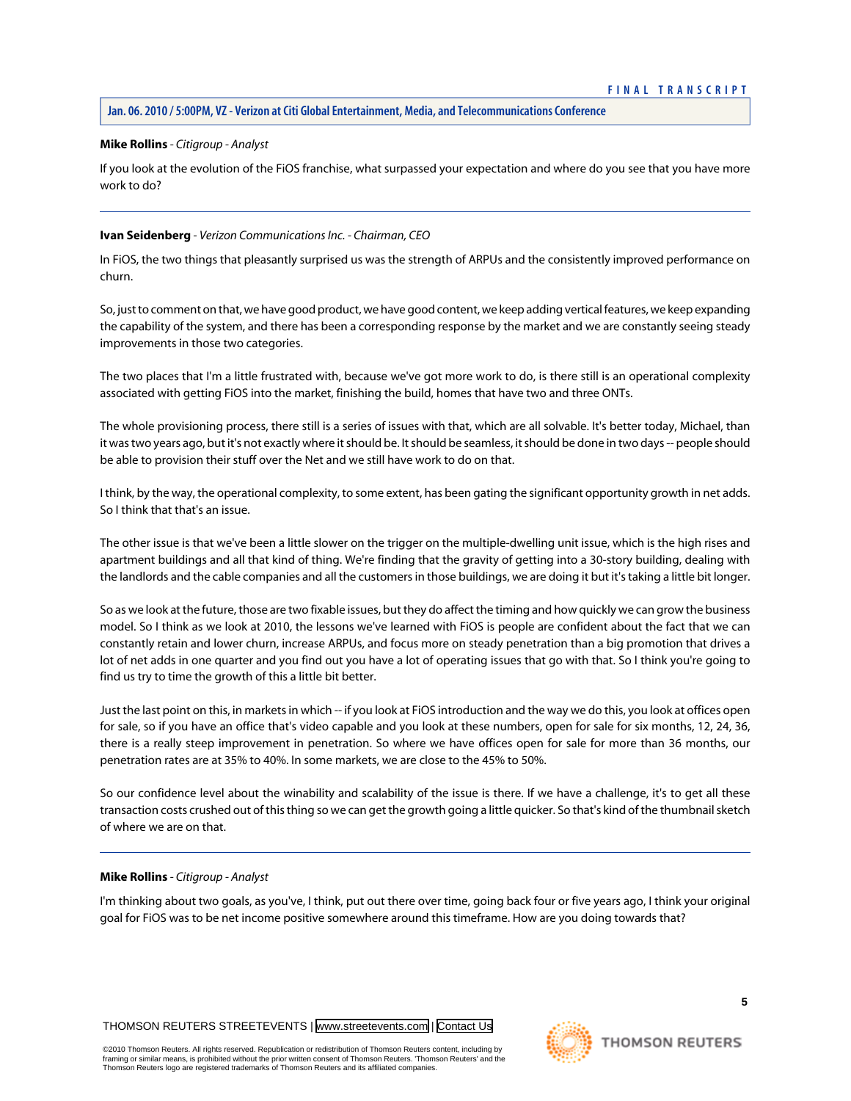# **Mike Rollins** *- Citigroup - Analyst*

If you look at the evolution of the FiOS franchise, what surpassed your expectation and where do you see that you have more work to do?

# **Ivan Seidenberg** *- Verizon Communications Inc. - Chairman, CEO*

In FiOS, the two things that pleasantly surprised us was the strength of ARPUs and the consistently improved performance on churn.

So, just to comment on that, we have good product, we have good content, we keep adding vertical features, we keep expanding the capability of the system, and there has been a corresponding response by the market and we are constantly seeing steady improvements in those two categories.

The two places that I'm a little frustrated with, because we've got more work to do, is there still is an operational complexity associated with getting FiOS into the market, finishing the build, homes that have two and three ONTs.

The whole provisioning process, there still is a series of issues with that, which are all solvable. It's better today, Michael, than it was two years ago, but it's not exactly where it should be. It should be seamless, it should be done in two days -- people should be able to provision their stuff over the Net and we still have work to do on that.

I think, by the way, the operational complexity, to some extent, has been gating the significant opportunity growth in net adds. So I think that that's an issue.

The other issue is that we've been a little slower on the trigger on the multiple-dwelling unit issue, which is the high rises and apartment buildings and all that kind of thing. We're finding that the gravity of getting into a 30-story building, dealing with the landlords and the cable companies and all the customers in those buildings, we are doing it but it's taking a little bit longer.

So as we look at the future, those are two fixable issues, but they do affect the timing and how quickly we can grow the business model. So I think as we look at 2010, the lessons we've learned with FiOS is people are confident about the fact that we can constantly retain and lower churn, increase ARPUs, and focus more on steady penetration than a big promotion that drives a lot of net adds in one quarter and you find out you have a lot of operating issues that go with that. So I think you're going to find us try to time the growth of this a little bit better.

Just the last point on this, in markets in which -- if you look at FiOS introduction and the way we do this, you look at offices open for sale, so if you have an office that's video capable and you look at these numbers, open for sale for six months, 12, 24, 36, there is a really steep improvement in penetration. So where we have offices open for sale for more than 36 months, our penetration rates are at 35% to 40%. In some markets, we are close to the 45% to 50%.

So our confidence level about the winability and scalability of the issue is there. If we have a challenge, it's to get all these transaction costs crushed out of this thing so we can get the growth going a little quicker. So that's kind of the thumbnail sketch of where we are on that.

#### **Mike Rollins** *- Citigroup - Analyst*

I'm thinking about two goals, as you've, I think, put out there over time, going back four or five years ago, I think your original goal for FiOS was to be net income positive somewhere around this timeframe. How are you doing towards that?

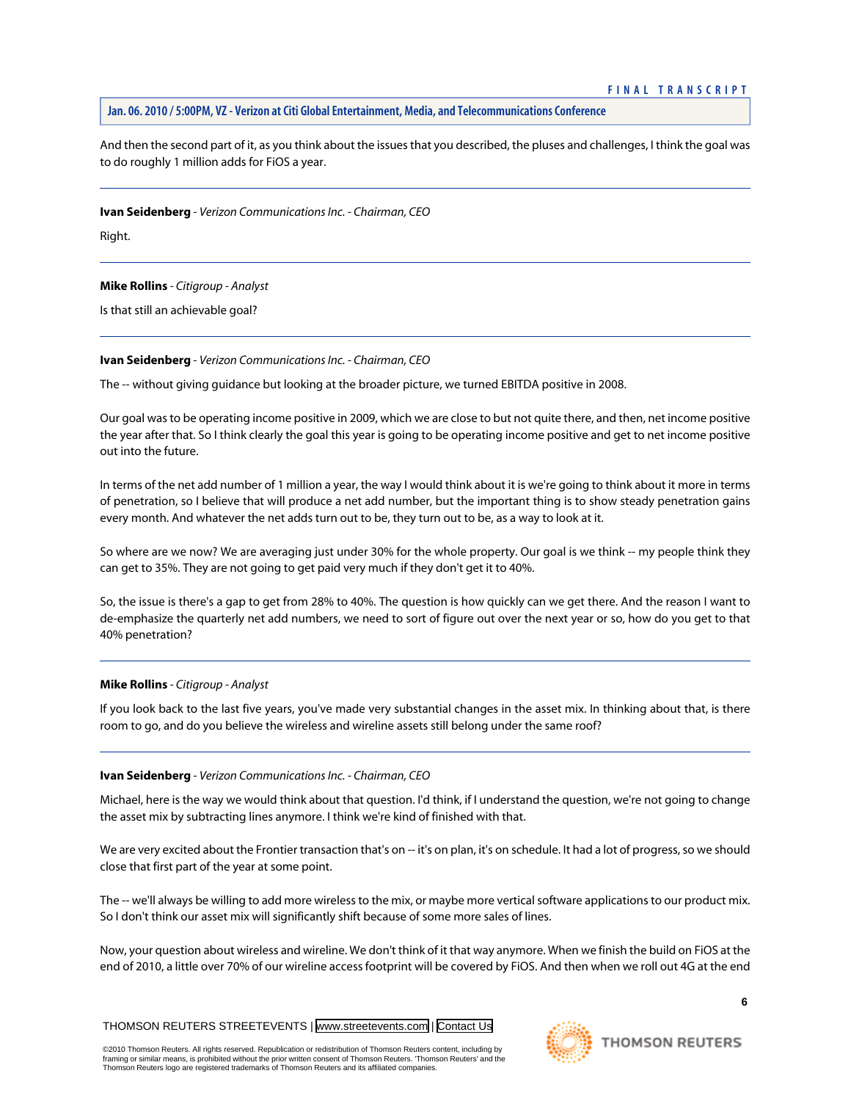And then the second part of it, as you think about the issues that you described, the pluses and challenges, I think the goal was to do roughly 1 million adds for FiOS a year.

**Ivan Seidenberg** *- Verizon Communications Inc. - Chairman, CEO*

Right.

**Mike Rollins** *- Citigroup - Analyst*

Is that still an achievable goal?

#### **Ivan Seidenberg** *- Verizon Communications Inc. - Chairman, CEO*

The -- without giving guidance but looking at the broader picture, we turned EBITDA positive in 2008.

Our goal was to be operating income positive in 2009, which we are close to but not quite there, and then, net income positive the year after that. So I think clearly the goal this year is going to be operating income positive and get to net income positive out into the future.

In terms of the net add number of 1 million a year, the way I would think about it is we're going to think about it more in terms of penetration, so I believe that will produce a net add number, but the important thing is to show steady penetration gains every month. And whatever the net adds turn out to be, they turn out to be, as a way to look at it.

So where are we now? We are averaging just under 30% for the whole property. Our goal is we think -- my people think they can get to 35%. They are not going to get paid very much if they don't get it to 40%.

So, the issue is there's a gap to get from 28% to 40%. The question is how quickly can we get there. And the reason I want to de-emphasize the quarterly net add numbers, we need to sort of figure out over the next year or so, how do you get to that 40% penetration?

# **Mike Rollins** *- Citigroup - Analyst*

If you look back to the last five years, you've made very substantial changes in the asset mix. In thinking about that, is there room to go, and do you believe the wireless and wireline assets still belong under the same roof?

#### **Ivan Seidenberg** *- Verizon Communications Inc. - Chairman, CEO*

Michael, here is the way we would think about that question. I'd think, if I understand the question, we're not going to change the asset mix by subtracting lines anymore. I think we're kind of finished with that.

We are very excited about the Frontier transaction that's on -- it's on plan, it's on schedule. It had a lot of progress, so we should close that first part of the year at some point.

The -- we'll always be willing to add more wireless to the mix, or maybe more vertical software applications to our product mix. So I don't think our asset mix will significantly shift because of some more sales of lines.

Now, your question about wireless and wireline. We don't think of it that way anymore. When we finish the build on FiOS at the end of 2010, a little over 70% of our wireline access footprint will be covered by FiOS. And then when we roll out 4G at the end

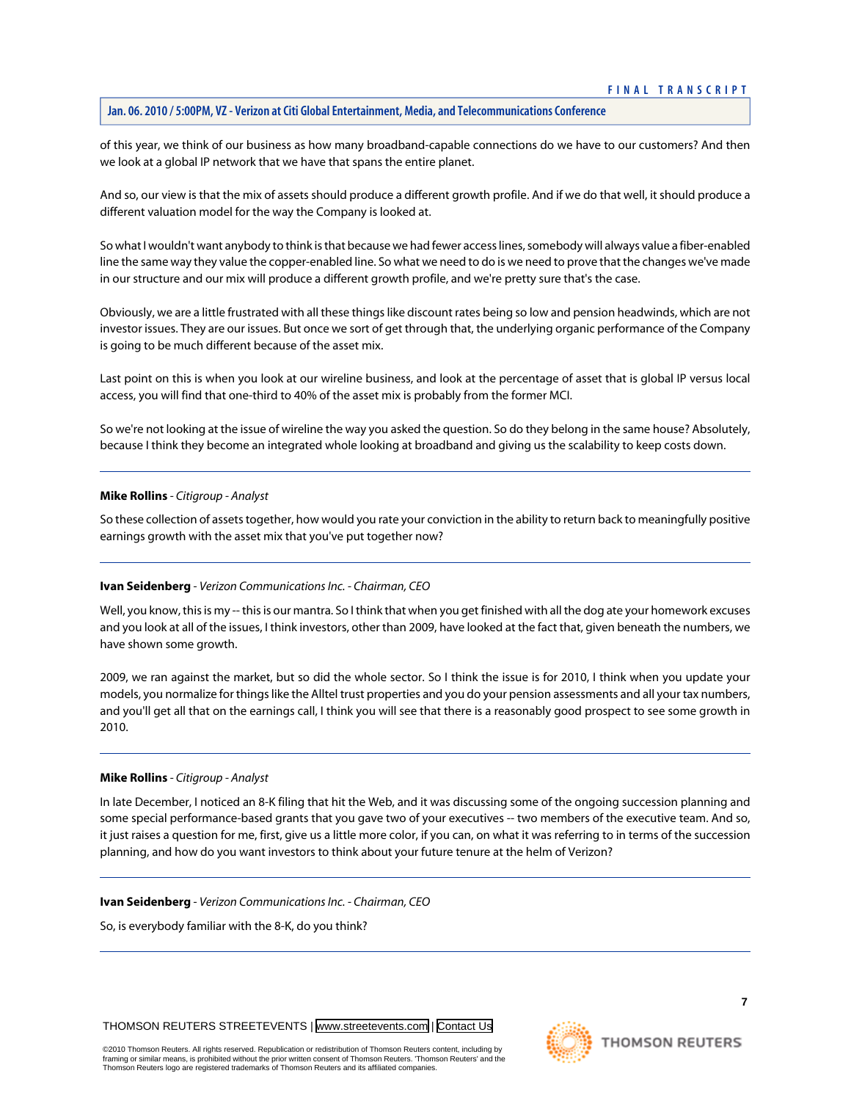of this year, we think of our business as how many broadband-capable connections do we have to our customers? And then we look at a global IP network that we have that spans the entire planet.

And so, our view is that the mix of assets should produce a different growth profile. And if we do that well, it should produce a different valuation model for the way the Company is looked at.

So what I wouldn't want anybody to think is that because we had fewer access lines, somebody will always value a fiber-enabled line the same way they value the copper-enabled line. So what we need to do is we need to prove that the changes we've made in our structure and our mix will produce a different growth profile, and we're pretty sure that's the case.

Obviously, we are a little frustrated with all these things like discount rates being so low and pension headwinds, which are not investor issues. They are our issues. But once we sort of get through that, the underlying organic performance of the Company is going to be much different because of the asset mix.

Last point on this is when you look at our wireline business, and look at the percentage of asset that is global IP versus local access, you will find that one-third to 40% of the asset mix is probably from the former MCI.

So we're not looking at the issue of wireline the way you asked the question. So do they belong in the same house? Absolutely, because I think they become an integrated whole looking at broadband and giving us the scalability to keep costs down.

#### **Mike Rollins** *- Citigroup - Analyst*

So these collection of assets together, how would you rate your conviction in the ability to return back to meaningfully positive earnings growth with the asset mix that you've put together now?

#### **Ivan Seidenberg** *- Verizon Communications Inc. - Chairman, CEO*

Well, you know, this is my -- this is our mantra. So I think that when you get finished with all the dog ate your homework excuses and you look at all of the issues, I think investors, other than 2009, have looked at the fact that, given beneath the numbers, we have shown some growth.

2009, we ran against the market, but so did the whole sector. So I think the issue is for 2010, I think when you update your models, you normalize for things like the Alltel trust properties and you do your pension assessments and all your tax numbers, and you'll get all that on the earnings call, I think you will see that there is a reasonably good prospect to see some growth in 2010.

#### **Mike Rollins** *- Citigroup - Analyst*

In late December, I noticed an 8-K filing that hit the Web, and it was discussing some of the ongoing succession planning and some special performance-based grants that you gave two of your executives -- two members of the executive team. And so, it just raises a question for me, first, give us a little more color, if you can, on what it was referring to in terms of the succession planning, and how do you want investors to think about your future tenure at the helm of Verizon?

#### **Ivan Seidenberg** *- Verizon Communications Inc. - Chairman, CEO*

So, is everybody familiar with the 8-K, do you think?

THOMSON REUTERS STREETEVENTS | [www.streetevents.com](http://www.streetevents.com) | [Contact Us](http://www010.streetevents.com/contact.asp)

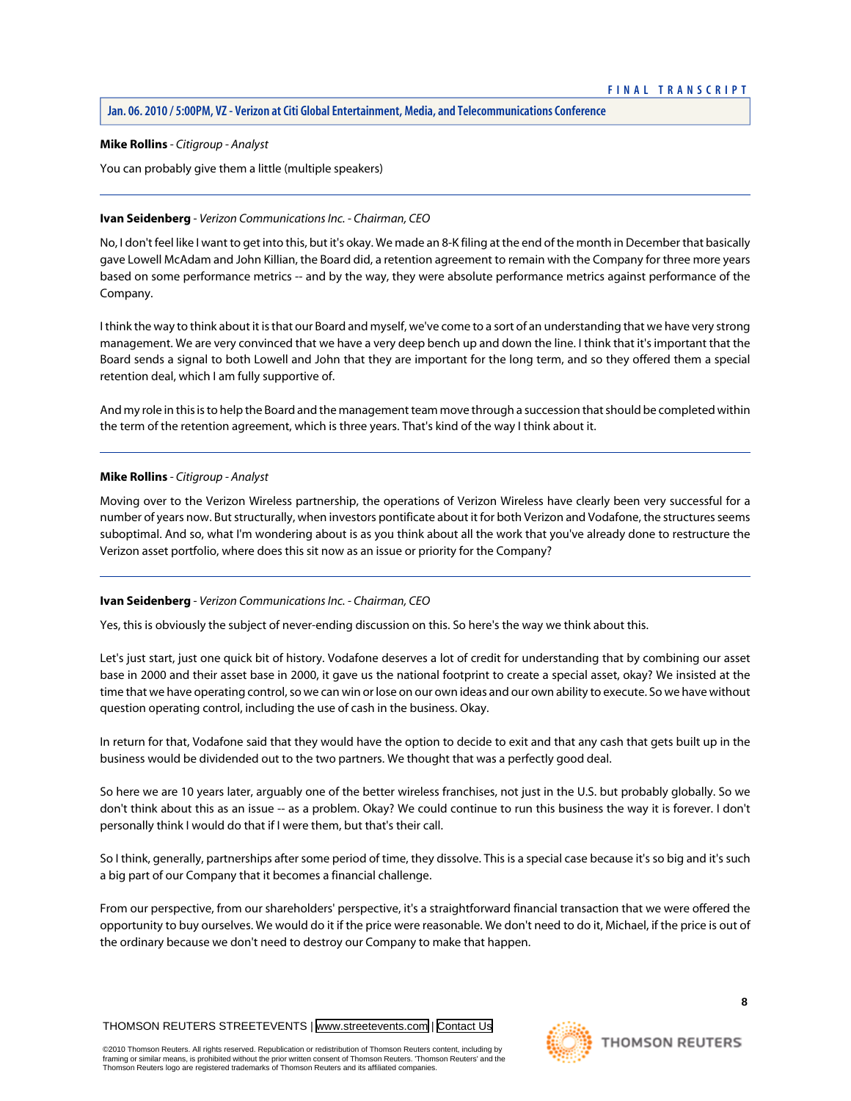#### **Mike Rollins** *- Citigroup - Analyst*

You can probably give them a little (multiple speakers)

# **Ivan Seidenberg** *- Verizon Communications Inc. - Chairman, CEO*

No, I don't feel like I want to get into this, but it's okay. We made an 8-K filing at the end of the month in December that basically gave Lowell McAdam and John Killian, the Board did, a retention agreement to remain with the Company for three more years based on some performance metrics -- and by the way, they were absolute performance metrics against performance of the Company.

I think the way to think about it is that our Board and myself, we've come to a sort of an understanding that we have very strong management. We are very convinced that we have a very deep bench up and down the line. I think that it's important that the Board sends a signal to both Lowell and John that they are important for the long term, and so they offered them a special retention deal, which I am fully supportive of.

And my role in this is to help the Board and the management team move through a succession that should be completed within the term of the retention agreement, which is three years. That's kind of the way I think about it.

# **Mike Rollins** *- Citigroup - Analyst*

Moving over to the Verizon Wireless partnership, the operations of Verizon Wireless have clearly been very successful for a number of years now. But structurally, when investors pontificate about it for both Verizon and Vodafone, the structures seems suboptimal. And so, what I'm wondering about is as you think about all the work that you've already done to restructure the Verizon asset portfolio, where does this sit now as an issue or priority for the Company?

# **Ivan Seidenberg** *- Verizon Communications Inc. - Chairman, CEO*

Yes, this is obviously the subject of never-ending discussion on this. So here's the way we think about this.

Let's just start, just one quick bit of history. Vodafone deserves a lot of credit for understanding that by combining our asset base in 2000 and their asset base in 2000, it gave us the national footprint to create a special asset, okay? We insisted at the time that we have operating control, so we can win or lose on our own ideas and our own ability to execute. So we have without question operating control, including the use of cash in the business. Okay.

In return for that, Vodafone said that they would have the option to decide to exit and that any cash that gets built up in the business would be dividended out to the two partners. We thought that was a perfectly good deal.

So here we are 10 years later, arguably one of the better wireless franchises, not just in the U.S. but probably globally. So we don't think about this as an issue -- as a problem. Okay? We could continue to run this business the way it is forever. I don't personally think I would do that if I were them, but that's their call.

So I think, generally, partnerships after some period of time, they dissolve. This is a special case because it's so big and it's such a big part of our Company that it becomes a financial challenge.

From our perspective, from our shareholders' perspective, it's a straightforward financial transaction that we were offered the opportunity to buy ourselves. We would do it if the price were reasonable. We don't need to do it, Michael, if the price is out of the ordinary because we don't need to destroy our Company to make that happen.

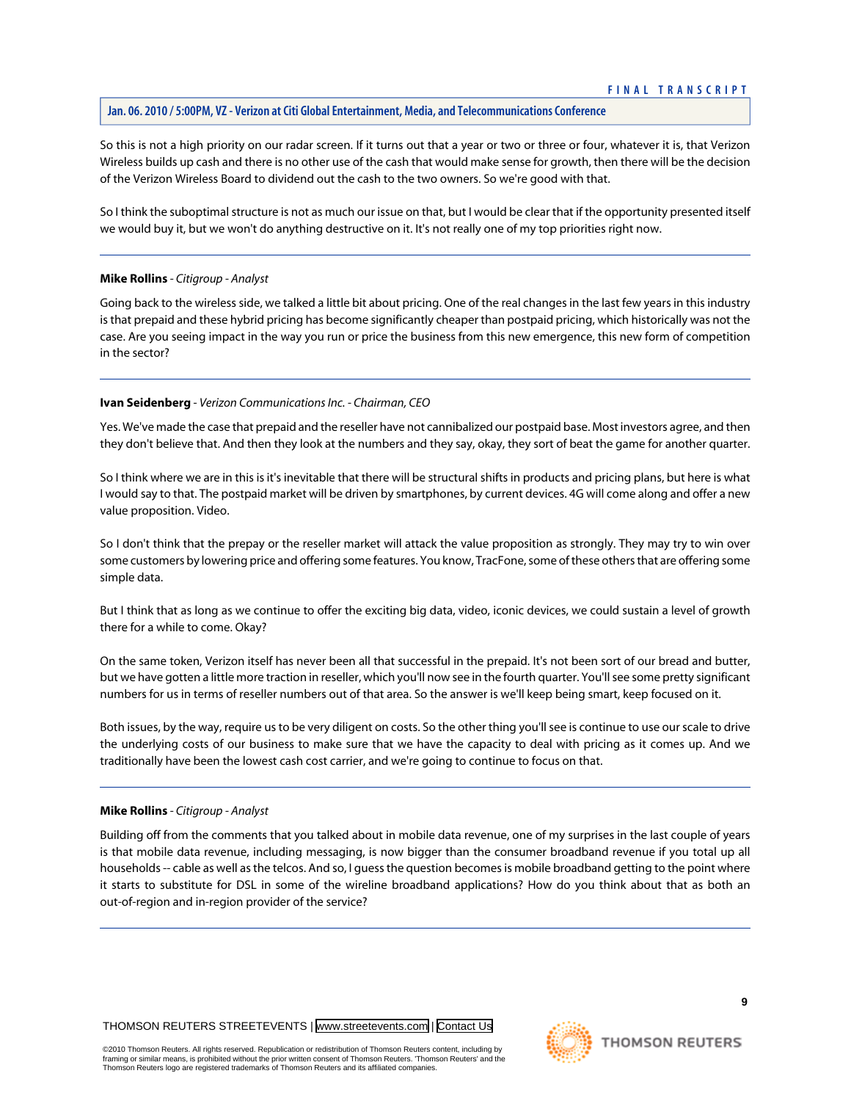So this is not a high priority on our radar screen. If it turns out that a year or two or three or four, whatever it is, that Verizon Wireless builds up cash and there is no other use of the cash that would make sense for growth, then there will be the decision of the Verizon Wireless Board to dividend out the cash to the two owners. So we're good with that.

So I think the suboptimal structure is not as much our issue on that, but I would be clear that if the opportunity presented itself we would buy it, but we won't do anything destructive on it. It's not really one of my top priorities right now.

#### **Mike Rollins** *- Citigroup - Analyst*

Going back to the wireless side, we talked a little bit about pricing. One of the real changes in the last few years in this industry is that prepaid and these hybrid pricing has become significantly cheaper than postpaid pricing, which historically was not the case. Are you seeing impact in the way you run or price the business from this new emergence, this new form of competition in the sector?

#### **Ivan Seidenberg** *- Verizon Communications Inc. - Chairman, CEO*

Yes. We've made the case that prepaid and the reseller have not cannibalized our postpaid base. Most investors agree, and then they don't believe that. And then they look at the numbers and they say, okay, they sort of beat the game for another quarter.

So I think where we are in this is it's inevitable that there will be structural shifts in products and pricing plans, but here is what I would say to that. The postpaid market will be driven by smartphones, by current devices. 4G will come along and offer a new value proposition. Video.

So I don't think that the prepay or the reseller market will attack the value proposition as strongly. They may try to win over some customers by lowering price and offering some features. You know, TracFone, some of these others that are offering some simple data.

But I think that as long as we continue to offer the exciting big data, video, iconic devices, we could sustain a level of growth there for a while to come. Okay?

On the same token, Verizon itself has never been all that successful in the prepaid. It's not been sort of our bread and butter, but we have gotten a little more traction in reseller, which you'll now see in the fourth quarter. You'll see some pretty significant numbers for us in terms of reseller numbers out of that area. So the answer is we'll keep being smart, keep focused on it.

Both issues, by the way, require us to be very diligent on costs. So the other thing you'll see is continue to use our scale to drive the underlying costs of our business to make sure that we have the capacity to deal with pricing as it comes up. And we traditionally have been the lowest cash cost carrier, and we're going to continue to focus on that.

#### **Mike Rollins** *- Citigroup - Analyst*

Building off from the comments that you talked about in mobile data revenue, one of my surprises in the last couple of years is that mobile data revenue, including messaging, is now bigger than the consumer broadband revenue if you total up all households -- cable as well as the telcos. And so, I quess the question becomes is mobile broadband getting to the point where it starts to substitute for DSL in some of the wireline broadband applications? How do you think about that as both an out-of-region and in-region provider of the service?

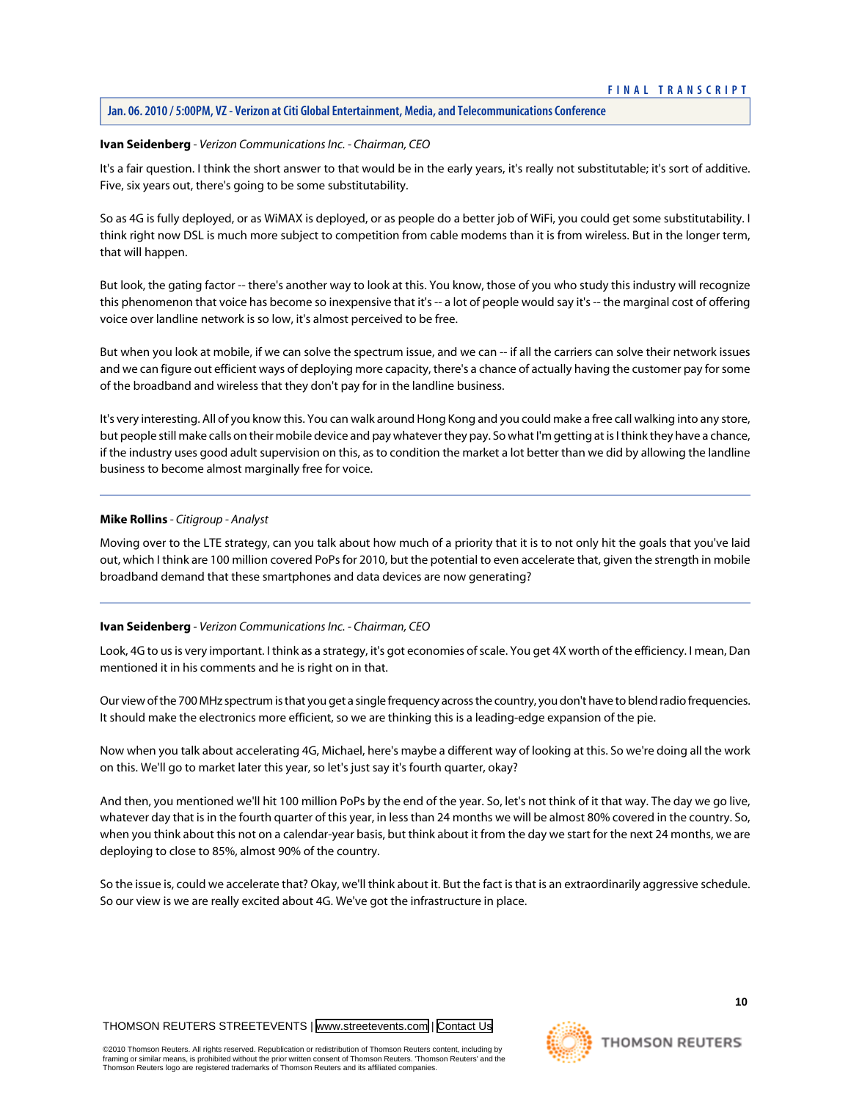#### **Ivan Seidenberg** *- Verizon Communications Inc. - Chairman, CEO*

It's a fair question. I think the short answer to that would be in the early years, it's really not substitutable; it's sort of additive. Five, six years out, there's going to be some substitutability.

So as 4G is fully deployed, or as WiMAX is deployed, or as people do a better job of WiFi, you could get some substitutability. I think right now DSL is much more subject to competition from cable modems than it is from wireless. But in the longer term, that will happen.

But look, the gating factor -- there's another way to look at this. You know, those of you who study this industry will recognize this phenomenon that voice has become so inexpensive that it's -- a lot of people would say it's -- the marginal cost of offering voice over landline network is so low, it's almost perceived to be free.

But when you look at mobile, if we can solve the spectrum issue, and we can -- if all the carriers can solve their network issues and we can figure out efficient ways of deploying more capacity, there's a chance of actually having the customer pay for some of the broadband and wireless that they don't pay for in the landline business.

It's very interesting. All of you know this. You can walk around Hong Kong and you could make a free call walking into any store, but people still make calls on their mobile device and pay whatever they pay. So what I'm getting at is I think they have a chance, if the industry uses good adult supervision on this, as to condition the market a lot better than we did by allowing the landline business to become almost marginally free for voice.

#### **Mike Rollins** *- Citigroup - Analyst*

Moving over to the LTE strategy, can you talk about how much of a priority that it is to not only hit the goals that you've laid out, which I think are 100 million covered PoPs for 2010, but the potential to even accelerate that, given the strength in mobile broadband demand that these smartphones and data devices are now generating?

#### **Ivan Seidenberg** *- Verizon Communications Inc. - Chairman, CEO*

Look, 4G to us is very important. I think as a strategy, it's got economies of scale. You get 4X worth of the efficiency. I mean, Dan mentioned it in his comments and he is right on in that.

Our view of the 700 MHz spectrum is that you get a single frequency across the country, you don't have to blend radio frequencies. It should make the electronics more efficient, so we are thinking this is a leading-edge expansion of the pie.

Now when you talk about accelerating 4G, Michael, here's maybe a different way of looking at this. So we're doing all the work on this. We'll go to market later this year, so let's just say it's fourth quarter, okay?

And then, you mentioned we'll hit 100 million PoPs by the end of the year. So, let's not think of it that way. The day we go live, whatever day that is in the fourth quarter of this year, in less than 24 months we will be almost 80% covered in the country. So, when you think about this not on a calendar-year basis, but think about it from the day we start for the next 24 months, we are deploying to close to 85%, almost 90% of the country.

So the issue is, could we accelerate that? Okay, we'll think about it. But the fact is that is an extraordinarily aggressive schedule. So our view is we are really excited about 4G. We've got the infrastructure in place.

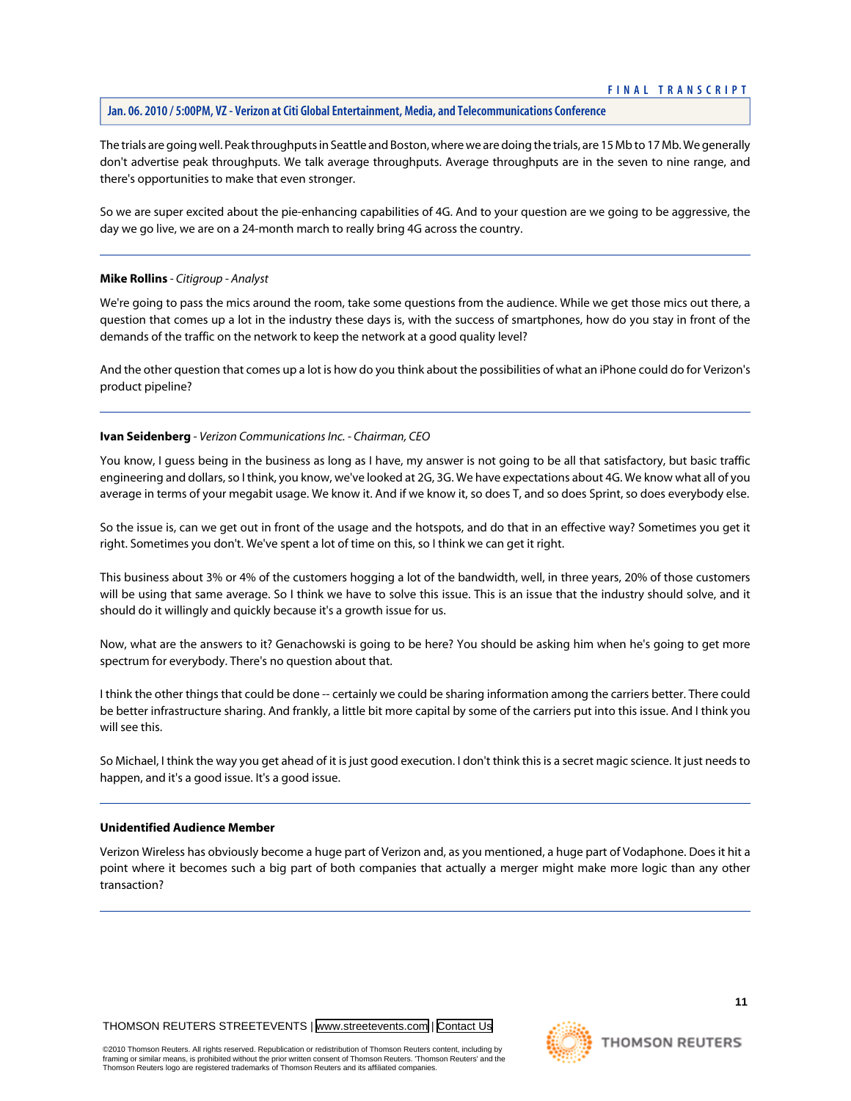The trials are going well. Peak throughputs in Seattle and Boston, where we are doing the trials, are 15 Mb to 17 Mb. We generally don't advertise peak throughputs. We talk average throughputs. Average throughputs are in the seven to nine range, and there's opportunities to make that even stronger.

So we are super excited about the pie-enhancing capabilities of 4G. And to your question are we going to be aggressive, the day we go live, we are on a 24-month march to really bring 4G across the country.

# **Mike Rollins** *- Citigroup - Analyst*

We're going to pass the mics around the room, take some questions from the audience. While we get those mics out there, a question that comes up a lot in the industry these days is, with the success of smartphones, how do you stay in front of the demands of the traffic on the network to keep the network at a good quality level?

And the other question that comes up a lot is how do you think about the possibilities of what an iPhone could do for Verizon's product pipeline?

# **Ivan Seidenberg** *- Verizon Communications Inc. - Chairman, CEO*

You know, I guess being in the business as long as I have, my answer is not going to be all that satisfactory, but basic traffic engineering and dollars, so I think, you know, we've looked at 2G, 3G. We have expectations about 4G. We know what all of you average in terms of your megabit usage. We know it. And if we know it, so does T, and so does Sprint, so does everybody else.

So the issue is, can we get out in front of the usage and the hotspots, and do that in an effective way? Sometimes you get it right. Sometimes you don't. We've spent a lot of time on this, so I think we can get it right.

This business about 3% or 4% of the customers hogging a lot of the bandwidth, well, in three years, 20% of those customers will be using that same average. So I think we have to solve this issue. This is an issue that the industry should solve, and it should do it willingly and quickly because it's a growth issue for us.

Now, what are the answers to it? Genachowski is going to be here? You should be asking him when he's going to get more spectrum for everybody. There's no question about that.

I think the other things that could be done -- certainly we could be sharing information among the carriers better. There could be better infrastructure sharing. And frankly, a little bit more capital by some of the carriers put into this issue. And I think you will see this.

So Michael, I think the way you get ahead of it is just good execution. I don't think this is a secret magic science. It just needs to happen, and it's a good issue. It's a good issue.

#### **Unidentified Audience Member**

Verizon Wireless has obviously become a huge part of Verizon and, as you mentioned, a huge part of Vodaphone. Does it hit a point where it becomes such a big part of both companies that actually a merger might make more logic than any other transaction?

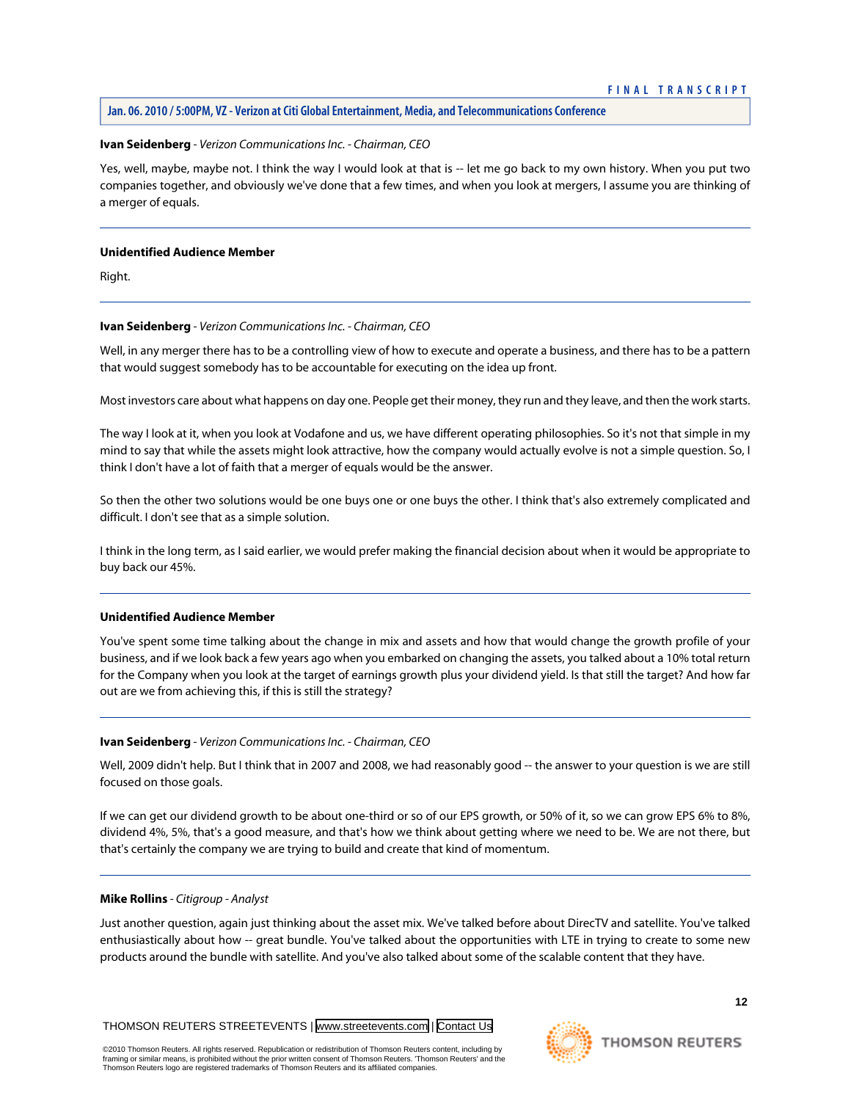#### **Ivan Seidenberg** *- Verizon Communications Inc. - Chairman, CEO*

Yes, well, maybe, maybe not. I think the way I would look at that is -- let me go back to my own history. When you put two companies together, and obviously we've done that a few times, and when you look at mergers, I assume you are thinking of a merger of equals.

#### **Unidentified Audience Member**

Right.

#### **Ivan Seidenberg** *- Verizon Communications Inc. - Chairman, CEO*

Well, in any merger there has to be a controlling view of how to execute and operate a business, and there has to be a pattern that would suggest somebody has to be accountable for executing on the idea up front.

Most investors care about what happens on day one. People get their money, they run and they leave, and then the work starts.

The way I look at it, when you look at Vodafone and us, we have different operating philosophies. So it's not that simple in my mind to say that while the assets might look attractive, how the company would actually evolve is not a simple question. So, I think I don't have a lot of faith that a merger of equals would be the answer.

So then the other two solutions would be one buys one or one buys the other. I think that's also extremely complicated and difficult. I don't see that as a simple solution.

I think in the long term, as I said earlier, we would prefer making the financial decision about when it would be appropriate to buy back our 45%.

# **Unidentified Audience Member**

You've spent some time talking about the change in mix and assets and how that would change the growth profile of your business, and if we look back a few years ago when you embarked on changing the assets, you talked about a 10% total return for the Company when you look at the target of earnings growth plus your dividend yield. Is that still the target? And how far out are we from achieving this, if this is still the strategy?

#### **Ivan Seidenberg** *- Verizon Communications Inc. - Chairman, CEO*

Well, 2009 didn't help. But I think that in 2007 and 2008, we had reasonably good -- the answer to your question is we are still focused on those goals.

If we can get our dividend growth to be about one-third or so of our EPS growth, or 50% of it, so we can grow EPS 6% to 8%, dividend 4%, 5%, that's a good measure, and that's how we think about getting where we need to be. We are not there, but that's certainly the company we are trying to build and create that kind of momentum.

# **Mike Rollins** *- Citigroup - Analyst*

Just another question, again just thinking about the asset mix. We've talked before about DirecTV and satellite. You've talked enthusiastically about how -- great bundle. You've talked about the opportunities with LTE in trying to create to some new products around the bundle with satellite. And you've also talked about some of the scalable content that they have.

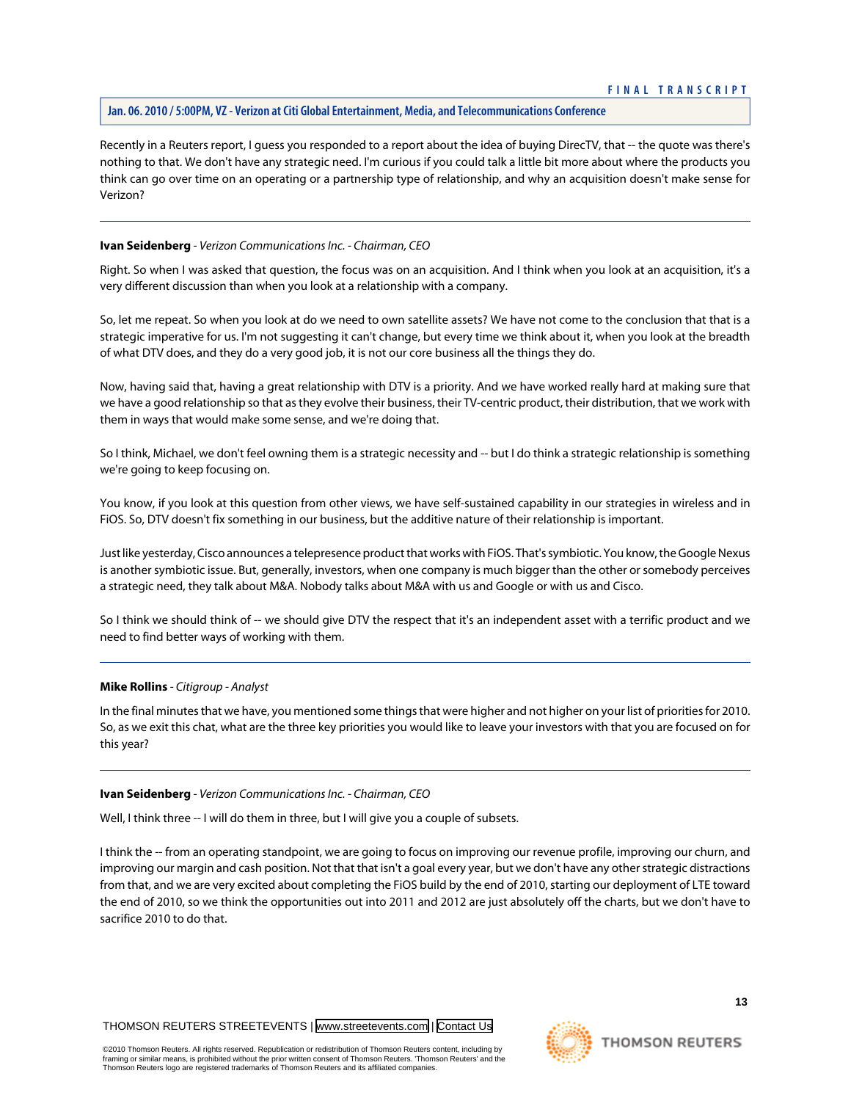Recently in a Reuters report, I guess you responded to a report about the idea of buying DirecTV, that -- the quote was there's nothing to that. We don't have any strategic need. I'm curious if you could talk a little bit more about where the products you think can go over time on an operating or a partnership type of relationship, and why an acquisition doesn't make sense for Verizon?

#### **Ivan Seidenberg** *- Verizon Communications Inc. - Chairman, CEO*

Right. So when I was asked that question, the focus was on an acquisition. And I think when you look at an acquisition, it's a very different discussion than when you look at a relationship with a company.

So, let me repeat. So when you look at do we need to own satellite assets? We have not come to the conclusion that that is a strategic imperative for us. I'm not suggesting it can't change, but every time we think about it, when you look at the breadth of what DTV does, and they do a very good job, it is not our core business all the things they do.

Now, having said that, having a great relationship with DTV is a priority. And we have worked really hard at making sure that we have a good relationship so that as they evolve their business, their TV-centric product, their distribution, that we work with them in ways that would make some sense, and we're doing that.

So I think, Michael, we don't feel owning them is a strategic necessity and -- but I do think a strategic relationship is something we're going to keep focusing on.

You know, if you look at this question from other views, we have self-sustained capability in our strategies in wireless and in FiOS. So, DTV doesn't fix something in our business, but the additive nature of their relationship is important.

Just like yesterday, Cisco announces a telepresence product that works with FiOS. That's symbiotic. You know, the Google Nexus is another symbiotic issue. But, generally, investors, when one company is much bigger than the other or somebody perceives a strategic need, they talk about M&A. Nobody talks about M&A with us and Google or with us and Cisco.

So I think we should think of -- we should give DTV the respect that it's an independent asset with a terrific product and we need to find better ways of working with them.

#### **Mike Rollins** *- Citigroup - Analyst*

In the final minutes that we have, you mentioned some things that were higher and not higher on your list of priorities for 2010. So, as we exit this chat, what are the three key priorities you would like to leave your investors with that you are focused on for this year?

#### **Ivan Seidenberg** *- Verizon Communications Inc. - Chairman, CEO*

Well, I think three -- I will do them in three, but I will give you a couple of subsets.

I think the -- from an operating standpoint, we are going to focus on improving our revenue profile, improving our churn, and improving our margin and cash position. Not that that isn't a goal every year, but we don't have any other strategic distractions from that, and we are very excited about completing the FiOS build by the end of 2010, starting our deployment of LTE toward the end of 2010, so we think the opportunities out into 2011 and 2012 are just absolutely off the charts, but we don't have to sacrifice 2010 to do that.